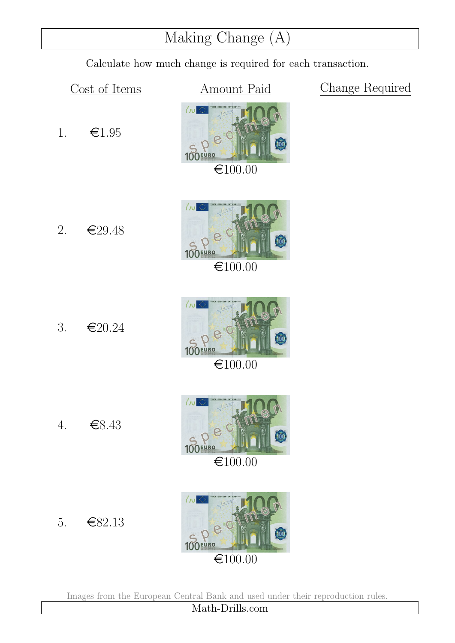### Making Change (A)

Calculate how much change is required for each transaction.

1.  $\epsilon$ 1.95

2.  $\epsilon$ 29.48

Cost of Items **Amount Paid** Change Required



100EURO  $€100.00$ 



τ'n

 $€100.00$ 





Images from the European Central Bank and used under their reproduction rules.

Math-Drills.com

4. e8.43

5.  $\epsilon$ 82.13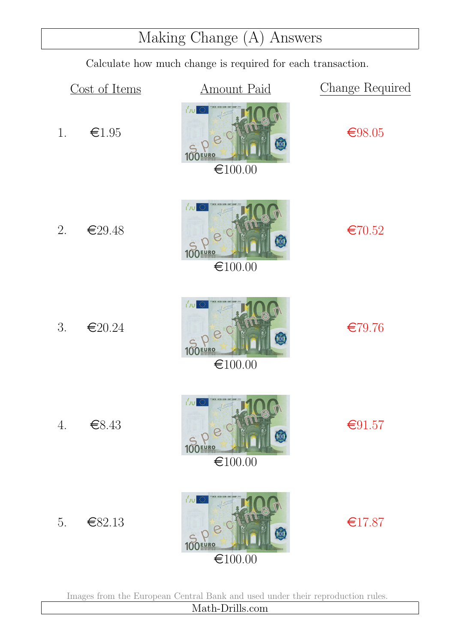# Making Change (A) Answers

Calculate how much change is required for each transaction.



Images from the European Central Bank and used under their reproduction rules.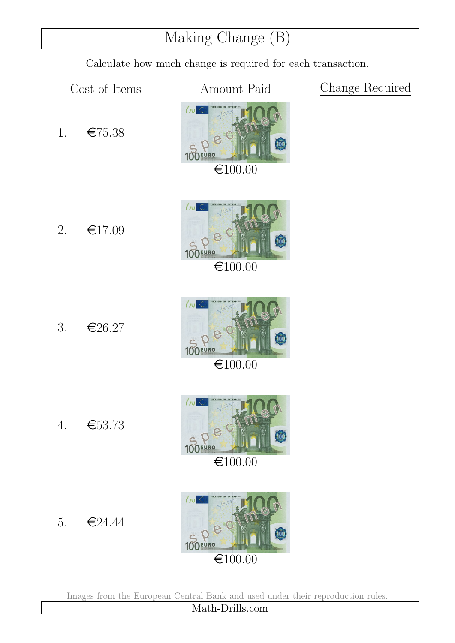### Making Change (B)

Calculate how much change is required for each transaction.

1.  $\epsilon$ 75.38

Cost of Items **Amount Paid** Change Required





# τ'n 100EURO

 $€100.00$ 





Images from the European Central Bank and used under their reproduction rules. Math-Drills.com

2.  $\epsilon$ 17.09

3.  $\epsilon$ 26.27

4. e53.73

5.  $\epsilon$ 24.44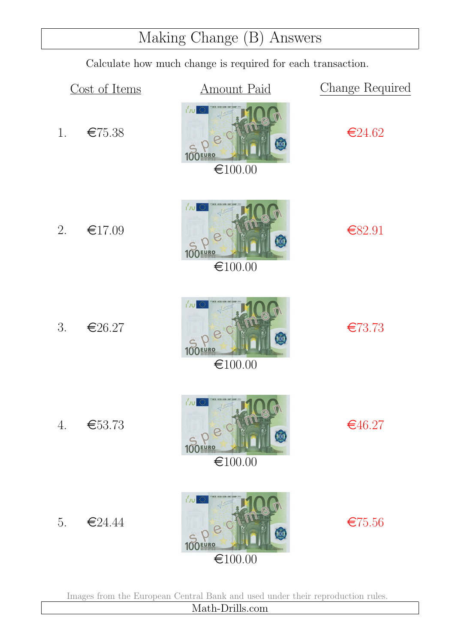# Making Change (B) Answers

Calculate how much change is required for each transaction.

|    | Cost of Items | <b>Amount Paid</b>                                                            | Change Required |
|----|---------------|-------------------------------------------------------------------------------|-----------------|
| 1. | €75.38        | 心心<br>100<br>100EURO<br>€100.00                                               | €24.62          |
| 2. | €17.09        | 心<br>$\binom{100}{100}$<br><b>RO</b><br>€100.00                               | €82.91          |
| 3. | €26.27        | Jv <br>损<br>≬ÖQ<br>€100.00                                                    | €73.73          |
| 4. | €53.73        | CE ECB EZB EKT EKI<br><b>I'vu ®</b><br>100 FURO<br>0<br>€100.00               | €46.27          |
| 5. | €24.44        | <b>I'vu @</b><br>100<br><b>100EURO</b><br>$\textcolor{red}{\textbf{6}}100.00$ | €75.56          |

Images from the European Central Bank and used under their reproduction rules.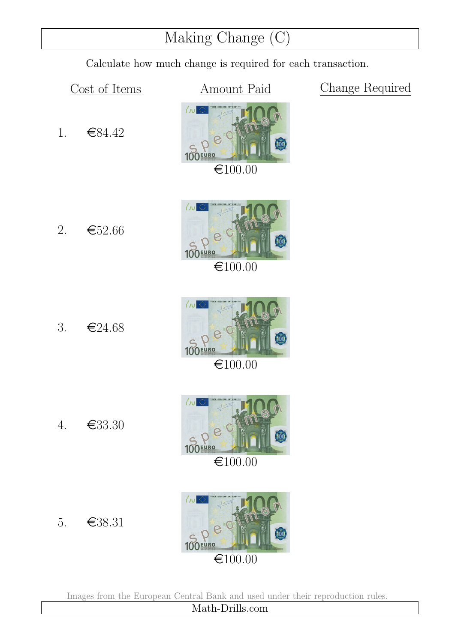### Making Change (C)

Calculate how much change is required for each transaction.

1. e84.42

2.  $\epsilon$ 52.66

Cost of Items **Amount Paid** Change Required







4. e33.30



 $€100.00$ 





5. e38.31

Images from the European Central Bank and used under their reproduction rules.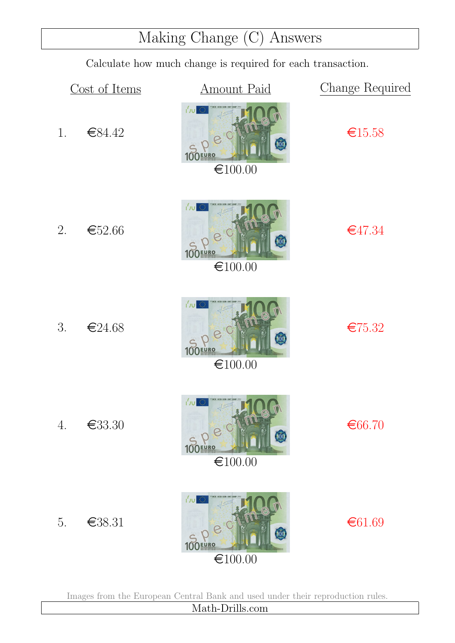# Making Change (C) Answers

Calculate how much change is required for each transaction.

|    | Cost of Items | <b>Amount Paid</b>                                                                     | Change Required |
|----|---------------|----------------------------------------------------------------------------------------|-----------------|
| 1. | €84.42        | Jv <br>30<br>100<br>100EURO<br>€100.00                                                 | €15.58          |
| 2. | €52.66        | r <sup>'</sup> νυ<br>$\left( \frac{1}{2} \right)$<br><b>URO</b><br>€100.00             | €47.34          |
| 3. | €24.68        | Jv <br>$\langle \rangle$<br>100<br>€100.00                                             | €75.32          |
| 4. | €33.30        | <b>ICE ECB EZB EKT EKP</b><br><b>I'vu 靈</b><br>Dec<br>$\bullet$<br>100EURO<br>€100.00  | €66.70          |
| 5. | €38.31        | $ J_{\rm U} $<br>30<br>100<br><b>100EURO</b><br>$\textcolor{red}{\mathbf{\in}} 100.00$ | € $61.69$       |

Images from the European Central Bank and used under their reproduction rules.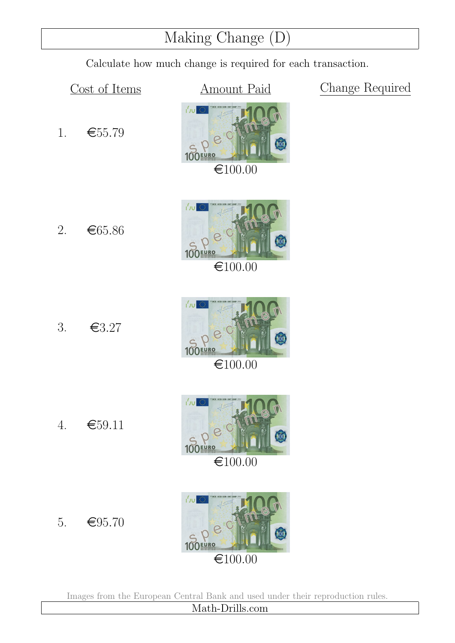### Making Change (D)

Calculate how much change is required for each transaction.

1.  $\epsilon$  = 55.79

2.  $\epsilon$ 65.86

Cost of Items **Amount Paid** Change Required





3.  $\epsilon$ 3.27

4.  $\epsilon$ 59.11



P. 100EURO  $\bigoplus100.00$ 

5.  $\epsilon$ 95.70



Images from the European Central Bank and used under their reproduction rules.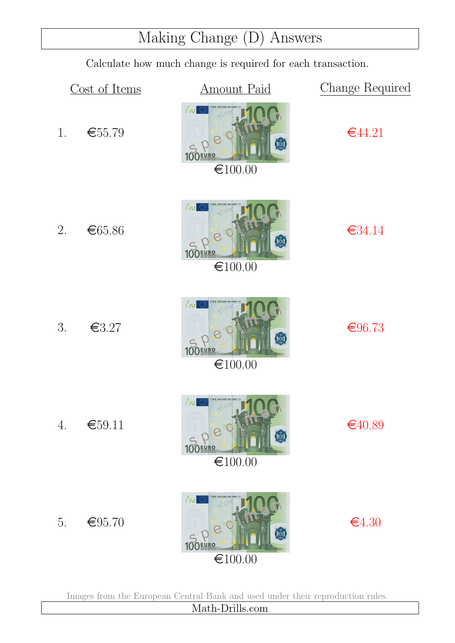# Making Change (D) Answers

Calculate how much change is required for each transaction.

|                  | Cost of Items | <b>Amount Paid</b>                                                                                              | Change Required |
|------------------|---------------|-----------------------------------------------------------------------------------------------------------------|-----------------|
| 1.               | €55.79        | Jv <br>30<br>$\sqrt{2}$<br><b>100EURO</b><br>€100.00                                                            | €44.21          |
| 2.               | €65.86        | r <sup>'</sup> νυ<br>$\overline{\omega}$<br><b>URO</b><br>€100.00                                               | €34.14          |
| 3.               | € $3.27$      | Jv <br>稳<br>100<br>€100.00                                                                                      | €96.73          |
| $\overline{4}$ . | €59.11        | <b>CE ECB EZB EKT EKP</b><br><b>I'vu 靈</b><br>100 FURO C<br>$\bullet$<br>$\textcolor{red}{\mathbf{\in}} 100.00$ | €40.89          |
| 5.               | € $95.70$     | $ J_{\rm U} $<br>30<br>100<br><b>100EURO</b><br>$\textcolor{red}{\mathbf{\in}} 100.00$                          | €4.30           |

Images from the European Central Bank and used under their reproduction rules.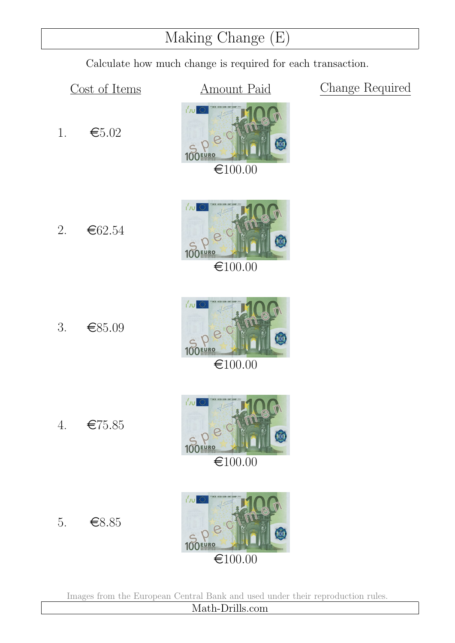### Making Change (E)

Calculate how much change is required for each transaction.

1.  $\epsilon$ 5.02

2.  $\epsilon$ 62.54

Cost of Items **Amount Paid** Change Required



100EURO  $€100.00$ 

3.  $\epsilon$ 85.09







5.  $\epsilon$ 8.85

4. e75.85

Images from the European Central Bank and used under their reproduction rules.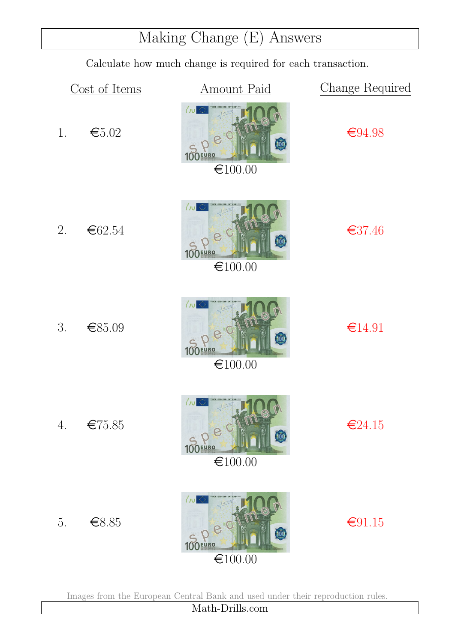### Making Change (E) Answers

Calculate how much change is required for each transaction.



Images from the European Central Bank and used under their reproduction rules.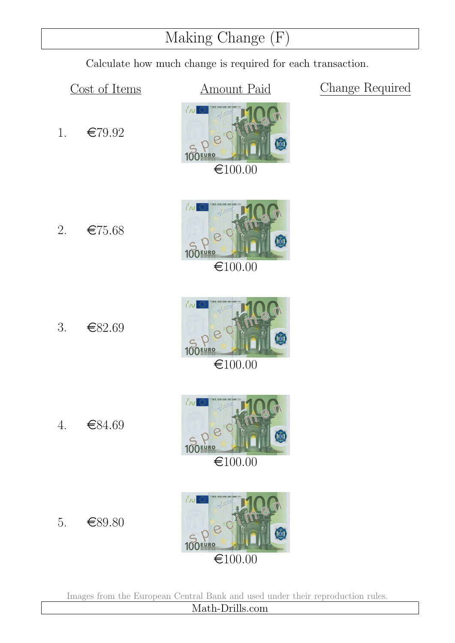### Making Change (F)

Calculate how much change is required for each transaction.

1.  $\epsilon$ 79.92

2.  $\epsilon$ 75.68

Cost of Items **Amount Paid** Change Required









 $€100.00$ 





5.  $\epsilon$ 89.80

4. €84.69

Images from the European Central Bank and used under their reproduction rules.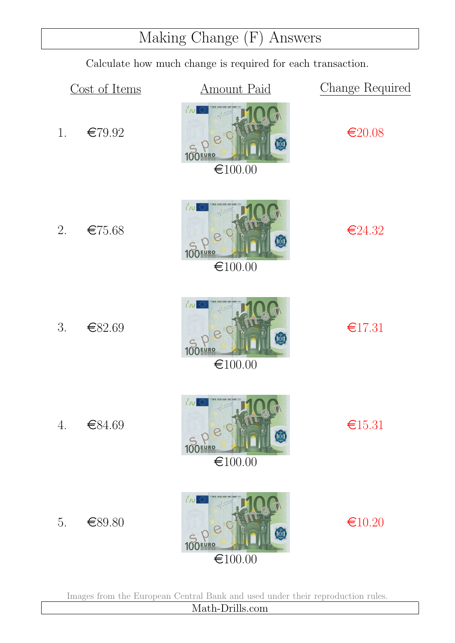### Making Change (F) Answers

Calculate how much change is required for each transaction.



Images from the European Central Bank and used under their reproduction rules.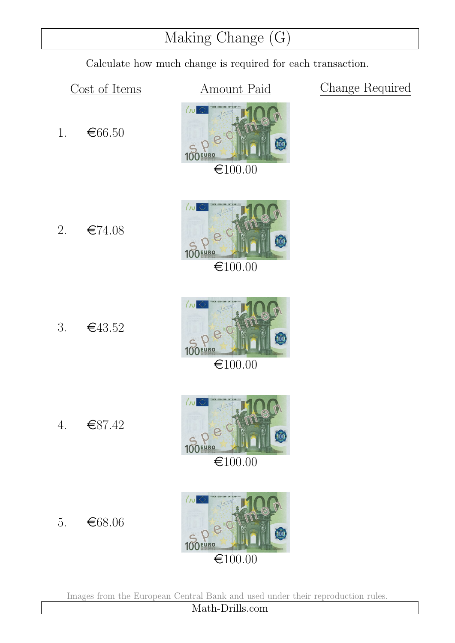### Making Change (G)

Calculate how much change is required for each transaction.

Cost of Items **Amount Paid** Change Required







 $€100.00$ 





Images from the European Central Bank and used under their reproduction rules.

Math-Drills.com

2.  $\epsilon$ 74.08

1.  $\epsilon$ 66.50

3.  $\epsilon$ 43.52

4. e87.42

5.  $\epsilon$ 68.06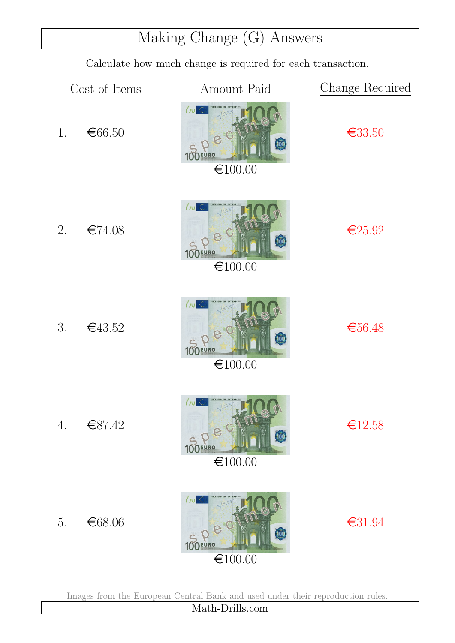### Making Change (G) Answers

Calculate how much change is required for each transaction.



Images from the European Central Bank and used under their reproduction rules.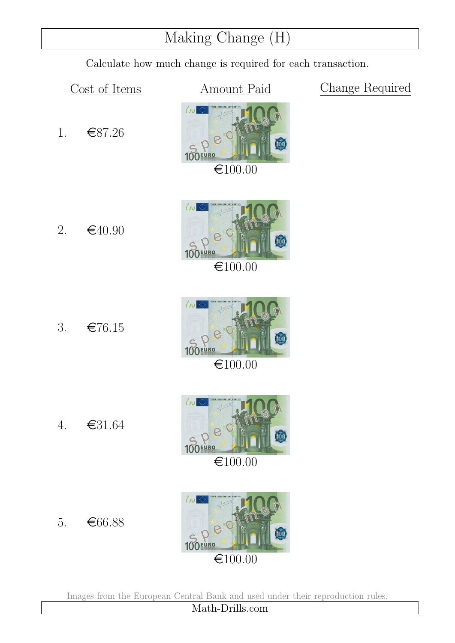### Making Change (H)

Calculate how much change is required for each transaction.

1. e87.26

2.  $\epsilon$ 40.90

Cost of Items **Amount Paid** Change Required





3.  $\epsilon$ 76.15

4. e31.64

5.  $\epsilon$ 66.88



 $\bigoplus100.00$ 





Images from the European Central Bank and used under their reproduction rules.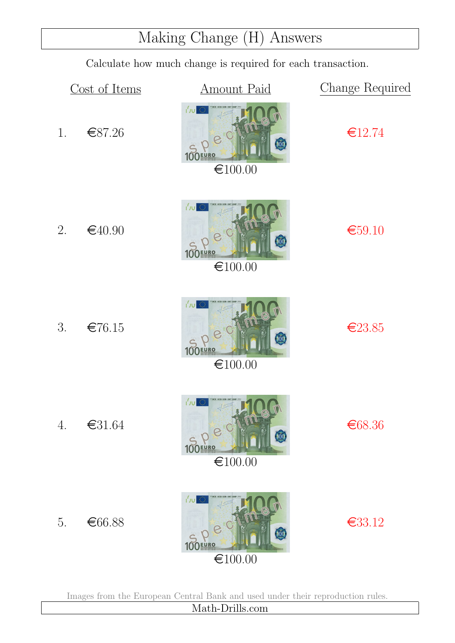# Making Change (H) Answers

Calculate how much change is required for each transaction.

|    | Cost of Items                                                 | <b>Amount Paid</b>                                                                     | Change Required |
|----|---------------------------------------------------------------|----------------------------------------------------------------------------------------|-----------------|
| 1. | €87.26                                                        | Jv <br>3,0<br>100<br>100EURO<br>€100.00                                                | €12.74          |
| 2. | €40.90                                                        | JU <br>30<br>$\left[ \begin{matrix} 0 & 0 \\ 0 & 0 \end{matrix} \right]$<br>€100.00    | €59.10          |
| 3. | €76.15                                                        | JU <br>O<br>100<br><b>EURO</b><br>€100.00                                              | €23.85          |
| 4. | $\textcolor{red}{\textbf{\textcolor{blue}{\textbf{6}}31.64}}$ | <b>I'vu 靈</b><br>Dec<br>400<br>100EURO<br>$\textcolor{red}{\mathbf{\in}} 100.00$       | €68.36          |
| 5. | €66.88                                                        | $ J_{\rm U} $<br>30<br>100<br><b>100EURO</b><br>$\textcolor{red}{\mathbf{\in}} 100.00$ | €33.12          |

Images from the European Central Bank and used under their reproduction rules.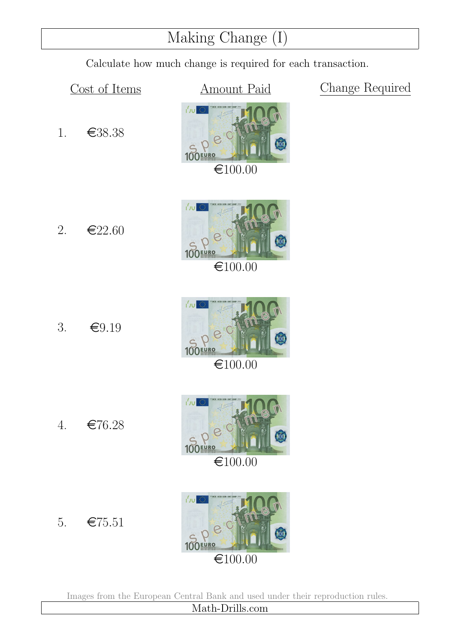### Making Change (I)

Calculate how much change is required for each transaction.

Cost of Items **Amount Paid** Change Required







 $\bigoplus100.00$ 





Images from the European Central Bank and used under their reproduction rules.

2.  $\epsilon$ 22.60

1. e38.38

3.  $\epsilon$ 9.19

4.  $\epsilon$ 76.28

5.  $\epsilon$ 75.51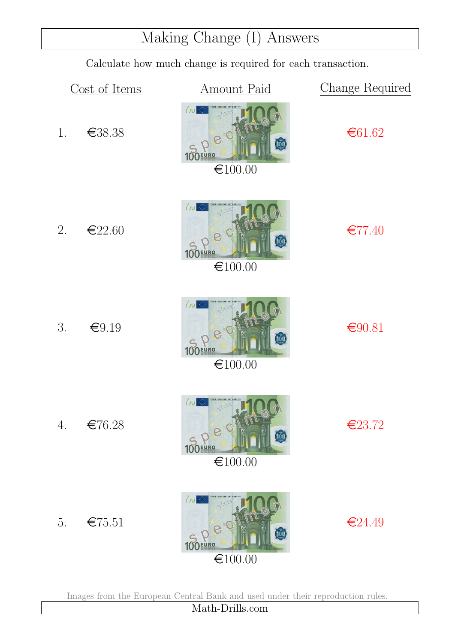### Making Change (I) Answers

Calculate how much change is required for each transaction.



Images from the European Central Bank and used under their reproduction rules.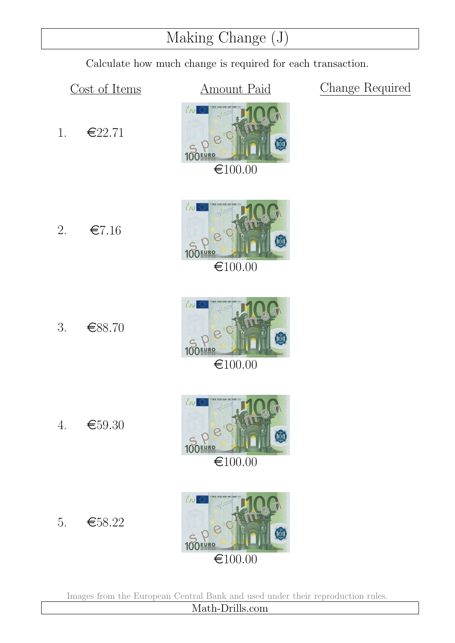### Making Change (J)

Calculate how much change is required for each transaction.

Cost of Items **Amount Paid** Change Required

![](_page_18_Picture_5.jpeg)

![](_page_18_Picture_6.jpeg)

1.  $\epsilon$ 22.71

![](_page_18_Picture_7.jpeg)

3.  $\epsilon$ 88.70

![](_page_18_Picture_9.jpeg)

 $\bigoplus100.00$ 

![](_page_18_Picture_11.jpeg)

![](_page_18_Figure_12.jpeg)

Images from the European Central Bank and used under their reproduction rules.

Math-Drills.com

- 5.  $\epsilon$ 58.22
- 

4.  $\epsilon$ 59.30